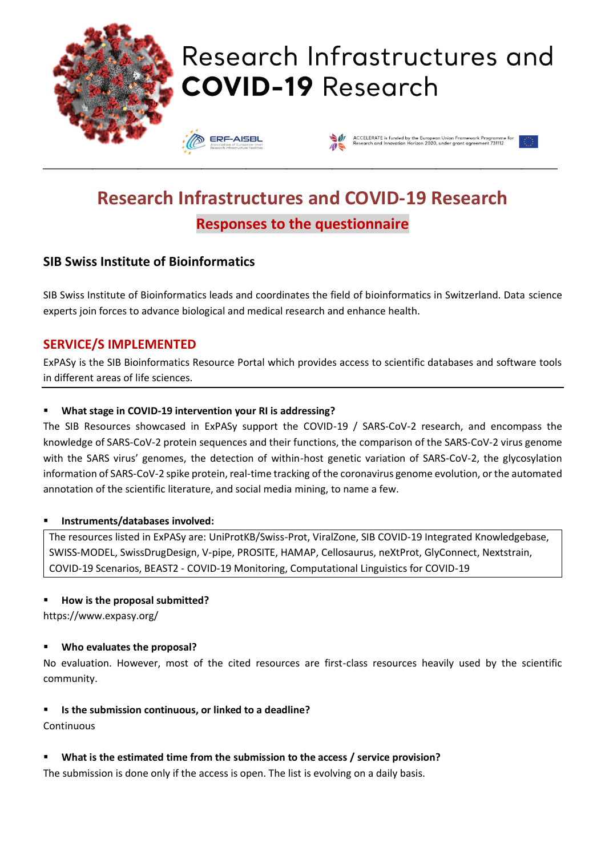

# Research Infrastructures and **COVID-19 Research**





# **Research Infrastructures and COVID-19 Research Responses to the questionnaire**

\_\_\_\_\_\_\_\_\_\_\_\_\_\_\_\_\_\_\_\_\_\_\_\_\_\_\_\_\_\_\_\_\_\_\_\_\_\_\_\_\_\_\_\_\_\_\_\_\_\_\_\_\_\_\_\_\_\_\_\_\_\_\_\_\_\_\_\_\_\_\_\_\_\_\_\_\_\_\_\_\_\_\_\_\_\_\_\_\_\_\_\_\_\_\_\_\_\_\_\_\_\_\_\_\_\_\_\_\_\_\_\_\_\_

### **SIB Swiss Institute of Bioinformatics**

SIB Swiss Institute of Bioinformatics leads and coordinates the field of bioinformatics in Switzerland. Data science experts join forces to advance biological and medical research and enhance health.

### **SERVICE/S IMPLEMENTED**

ExPASy is the SIB Bioinformatics Resource Portal which provides access to scientific databases and software tools in different areas of life sciences.

#### ▪ **What stage in COVID-19 intervention your RI is addressing?**

The SIB Resources showcased in ExPASy support the COVID-19 / SARS-CoV-2 research, and encompass the knowledge of SARS-CoV-2 protein sequences and their functions, the comparison of the SARS-CoV-2 virus genome with the SARS virus' genomes, the detection of within-host genetic variation of SARS-CoV-2, the glycosylation information of SARS-CoV-2 spike protein, real-time tracking of the coronavirus genome evolution, or the automated annotation of the scientific literature, and social media mining, to name a few.

#### ▪ **Instruments/databases involved:**

The resources listed in ExPASy are: UniProtKB/Swiss-Prot, ViralZone, SIB COVID-19 Integrated Knowledgebase, SWISS-MODEL, SwissDrugDesign, V-pipe, PROSITE, HAMAP, Cellosaurus, neXtProt, GlyConnect, Nextstrain, COVID-19 Scenarios, BEAST2 - COVID-19 Monitoring, Computational Linguistics for COVID-19

#### ▪ **How is the proposal submitted?**

https://www.expasy.org/

#### ▪ **Who evaluates the proposal?**

No evaluation. However, most of the cited resources are first-class resources heavily used by the scientific community.

#### ▪ **Is the submission continuous, or linked to a deadline?**

Continuous

#### What is the estimated time from the submission to the access / service provision?

The submission is done only if the access is open. The list is evolving on a daily basis.